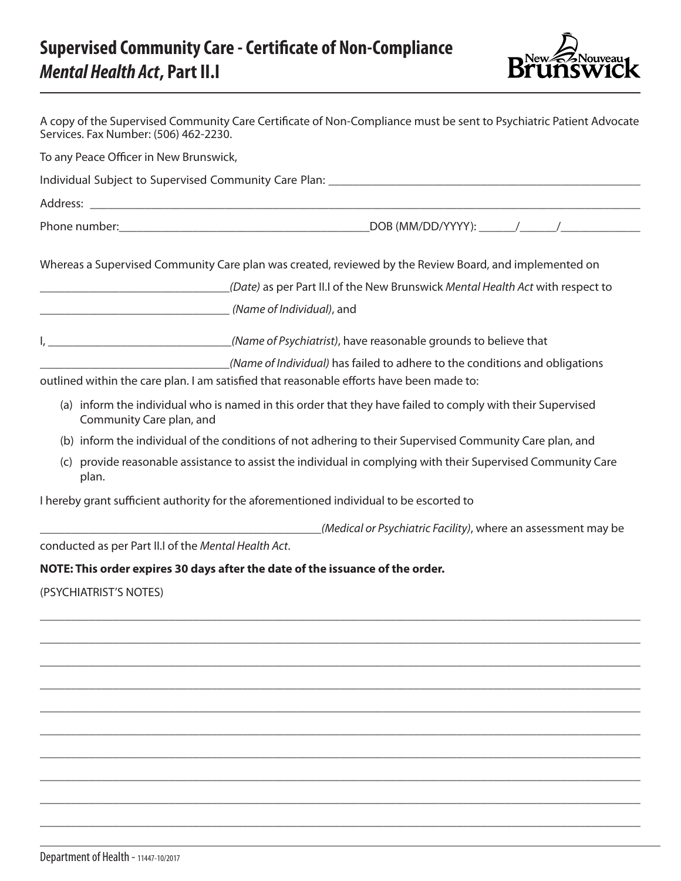## **Supervised Community Care - Certificate of Non-Compliance** *Mental Health Act***, Part II.I**



| Services. Fax Number: (506) 462-2230.  | A copy of the Supervised Community Care Certificate of Non-Compliance must be sent to Psychiatric Patient Advocate                                                      |
|----------------------------------------|-------------------------------------------------------------------------------------------------------------------------------------------------------------------------|
| To any Peace Officer in New Brunswick, |                                                                                                                                                                         |
|                                        |                                                                                                                                                                         |
|                                        |                                                                                                                                                                         |
|                                        |                                                                                                                                                                         |
|                                        | Whereas a Supervised Community Care plan was created, reviewed by the Review Board, and implemented on                                                                  |
|                                        | (Date) as per Part II.I of the New Brunswick Mental Health Act with respect to                                                                                          |
|                                        | (Name of Individual), and                                                                                                                                               |
|                                        | I, ________________________________(Name of Psychiatrist), have reasonable grounds to believe that                                                                      |
|                                        | (Name of Individual) has failed to adhere to the conditions and obligations<br>outlined within the care plan. I am satisfied that reasonable efforts have been made to: |
| Community Care plan, and               | (a) inform the individual who is named in this order that they have failed to comply with their Supervised                                                              |
|                                        | (b) inform the individual of the conditions of not adhering to their Supervised Community Care plan, and                                                                |
| plan.                                  | (c) provide reasonable assistance to assist the individual in complying with their Supervised Community Care                                                            |
|                                        | I hereby grant sufficient authority for the aforementioned individual to be escorted to                                                                                 |
|                                        | (Medical or Psychiatric Facility), where an assessment may be                                                                                                           |
|                                        | conducted as per Part II.I of the Mental Health Act.                                                                                                                    |
|                                        | NOTE: This order expires 30 days after the date of the issuance of the order.                                                                                           |
| (PSYCHIATRIST'S NOTES)                 |                                                                                                                                                                         |
|                                        |                                                                                                                                                                         |
|                                        |                                                                                                                                                                         |
|                                        |                                                                                                                                                                         |
|                                        |                                                                                                                                                                         |

\_\_\_\_\_\_\_\_\_\_\_\_\_\_\_\_\_\_\_\_\_\_\_\_\_\_\_\_\_\_\_\_\_\_\_\_\_\_\_\_\_\_\_\_\_\_\_\_\_\_\_\_\_\_\_\_\_\_\_\_\_\_\_\_\_\_\_\_\_\_\_\_\_\_\_\_\_\_\_\_\_\_\_\_\_\_\_\_\_\_\_\_\_\_\_\_\_\_

\_\_\_\_\_\_\_\_\_\_\_\_\_\_\_\_\_\_\_\_\_\_\_\_\_\_\_\_\_\_\_\_\_\_\_\_\_\_\_\_\_\_\_\_\_\_\_\_\_\_\_\_\_\_\_\_\_\_\_\_\_\_\_\_\_\_\_\_\_\_\_\_\_\_\_\_\_\_\_\_\_\_\_\_\_\_\_\_\_\_\_\_\_\_\_\_\_\_

\_\_\_\_\_\_\_\_\_\_\_\_\_\_\_\_\_\_\_\_\_\_\_\_\_\_\_\_\_\_\_\_\_\_\_\_\_\_\_\_\_\_\_\_\_\_\_\_\_\_\_\_\_\_\_\_\_\_\_\_\_\_\_\_\_\_\_\_\_\_\_\_\_\_\_\_\_\_\_\_\_\_\_\_\_\_\_\_\_\_\_\_\_\_\_\_\_\_

\_\_\_\_\_\_\_\_\_\_\_\_\_\_\_\_\_\_\_\_\_\_\_\_\_\_\_\_\_\_\_\_\_\_\_\_\_\_\_\_\_\_\_\_\_\_\_\_\_\_\_\_\_\_\_\_\_\_\_\_\_\_\_\_\_\_\_\_\_\_\_\_\_\_\_\_\_\_\_\_\_\_\_\_\_\_\_\_\_\_\_\_\_\_\_\_\_\_

\_\_\_\_\_\_\_\_\_\_\_\_\_\_\_\_\_\_\_\_\_\_\_\_\_\_\_\_\_\_\_\_\_\_\_\_\_\_\_\_\_\_\_\_\_\_\_\_\_\_\_\_\_\_\_\_\_\_\_\_\_\_\_\_\_\_\_\_\_\_\_\_\_\_\_\_\_\_\_\_\_\_\_\_\_\_\_\_\_\_\_\_\_\_\_\_\_\_

\_\_\_\_\_\_\_\_\_\_\_\_\_\_\_\_\_\_\_\_\_\_\_\_\_\_\_\_\_\_\_\_\_\_\_\_\_\_\_\_\_\_\_\_\_\_\_\_\_\_\_\_\_\_\_\_\_\_\_\_\_\_\_\_\_\_\_\_\_\_\_\_\_\_\_\_\_\_\_\_\_\_\_\_\_\_\_\_\_\_\_\_\_\_\_\_\_\_